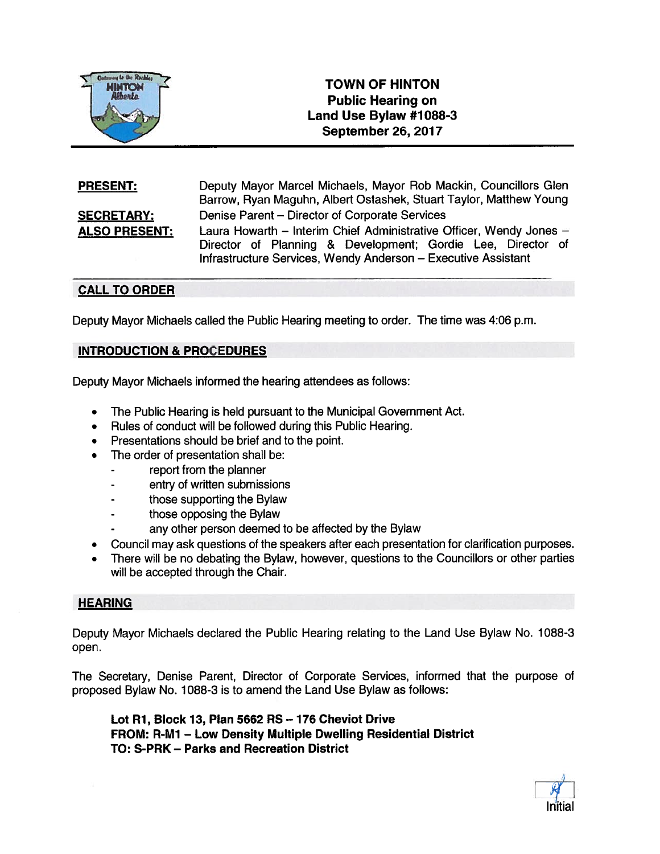

# TOWN OF HINTON Public Hearing on Land Use Bylaw #1088-3 TOWN OF HINTON<br>
Alberta<br>
Alberta<br>
Public Hearing on<br>
Land Use Bylaw #1084<br>
September 26, 2017

Deputy Mayor Marcel Michaels, Mayor Rob Mackin, Councillors Glen Barrow, Ryan Maguhn, Albert Ostashek, Stuart Taylor, Matthew Young **SECRETARY:** Denise Parent – Director of Corporate Services ALSO PRESENT: Laura Howarth - Interim Chief Administrative Officer, Wendy Jones -Director of Planning & Development; Gordie Lee, Director of Infrastructure Services, Wendy Anderson — Executive Assistant PRESENT:

## CALL TO ORDER

Deputy Mayor Michaels called the Public Hearing meeting to order. The time was 4:06 p.m.

## INTRODUCTION & PROCEDURES

Deputy Mayor Michaels informed the hearing attendees as follows:

- •The Public Hearing is held pursuan<sup>t</sup> to the Municipal Government Act.
- •Rules of conduct will be followed during this Public Hearing.
- Presentations should be brief and to the point.
- • The order of presentation shall be:
	- repor<sup>t</sup> from the planner
	- entry of written submissions
	- those supporting the Bylaw
	- those opposing the Bylaw
	- any other person deemed to be affected by the Bylaw
- •Council may ask questions of the speakers after each presentation for clarification purposes.
- • There will be no debating the Bylaw, however, questions to the Councillors or other parties will be accepted through the Chair.

### **HEARING**

Deputy Mayor Michaels declared the Public Hearing relating to the Land Use Bylaw No. 1088-3 open.

The Secretary, Denise Parent, Director of Corporate Services, informed that the purpose of proposed Bylaw No. 1088-3 is to amend the Land Use Bylaw as follows:

Lot Ri, Block 13, Plan 5662 RS —176 Cheviot Drive FROM: R-M1 — Low Density Multiple Dwelling Residential District TO: S-PRK — Parks and Recreation District